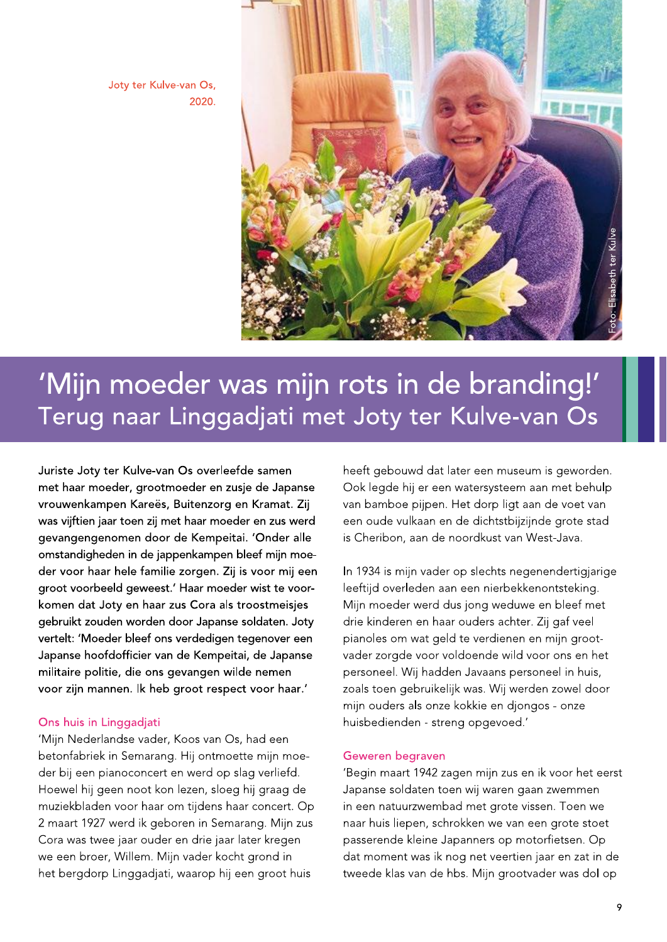Joty ter Kulve-van Os, 2020.



# 'Mijn moeder was mijn rots in de branding!' Terug naar Linggadjati met Joty ter Kulve-van Os

Juriste Joty ter Kulve-van Os overleefde samen met haar moeder, grootmoeder en zusje de Japanse vrouwenkampen Kareës, Buitenzorg en Kramat. Zij was vijftien jaar toen zij met haar moeder en zus werd gevangengenomen door de Kempeitai. 'Onder alle omstandigheden in de jappenkampen bleef mijn moeder voor haar hele familie zorgen. Zij is voor mij een groot voorbeeld geweest.' Haar moeder wist te voorkomen dat Joty en haar zus Cora als troostmeisjes gebruikt zouden worden door Japanse soldaten. Joty vertelt: 'Moeder bleef ons verdedigen tegenover een Japanse hoofdofficier van de Kempeitai, de Japanse militaire politie, die ons gevangen wilde nemen voor zijn mannen. Ik heb groot respect voor haar.'

## Ons huis in Linggadjati

'Mijn Nederlandse vader, Koos van Os, had een betonfabriek in Semarang. Hij ontmoette mijn moeder bij een pianoconcert en werd op slag verliefd. Hoewel hij geen noot kon lezen, sloeg hij graag de muziekbladen voor haar om tijdens haar concert. Op 2 maart 1927 werd ik geboren in Semarang. Mijn zus Cora was twee jaar ouder en drie jaar later kregen we een broer, Willem. Mijn vader kocht grond in het bergdorp Linggadjati, waarop hij een groot huis

heeft gebouwd dat later een museum is geworden. Ook legde hij er een watersysteem aan met behulp van bamboe pijpen. Het dorp ligt aan de voet van een oude vulkaan en de dichtstbijzijnde grote stad is Cheribon, aan de noordkust van West-Java.

In 1934 is mijn vader op slechts negenendertigjarige leeftijd overleden aan een nierbekkenontsteking. Mijn moeder werd dus jong weduwe en bleef met drie kinderen en haar ouders achter. Zij gaf veel pianoles om wat geld te verdienen en mijn grootvader zorgde voor voldoende wild voor ons en het personeel. Wij hadden Javaans personeel in huis, zoals toen gebruikelijk was. Wij werden zowel door mijn ouders als onze kokkie en djongos - onze huisbedienden - streng opgevoed.'

## Geweren begraven

'Begin maart 1942 zagen mijn zus en ik voor het eerst Japanse soldaten toen wij waren gaan zwemmen in een natuurzwembad met grote vissen. Toen we naar huis liepen, schrokken we van een grote stoet passerende kleine Japanners op motorfietsen. Op dat moment was ik nog net veertien jaar en zat in de tweede klas van de hbs. Mijn grootvader was dol op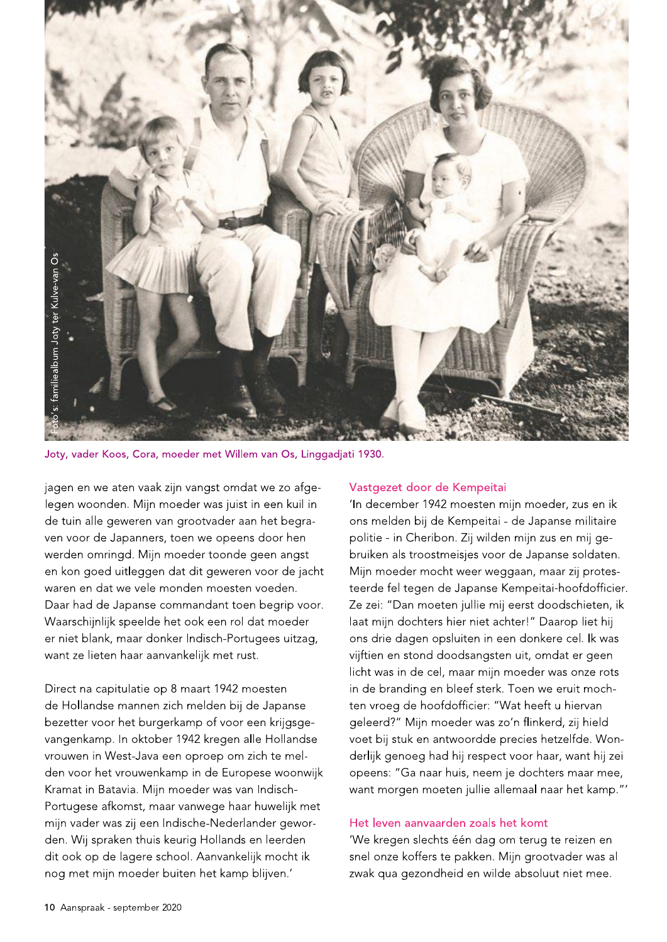

Joty, vader Koos, Cora, moeder met Willem van Os, Linggadjati 1930.

jagen en we aten vaak zijn vangst omdat we zo afgelegen woonden. Mijn moeder was juist in een kuil in de tuin alle geweren van grootvader aan het begraven voor de Japanners, toen we opeens door hen werden omringd. Mijn moeder toonde geen angst en kon goed uitleggen dat dit geweren voor de jacht waren en dat we vele monden moesten voeden. Daar had de Japanse commandant toen begrip voor. Waarschijnlijk speelde het ook een rol dat moeder er niet blank, maar donker Indisch-Portugees uitzag, want ze lieten haar aanvankelijk met rust.

Direct na capitulatie op 8 maart 1942 moesten de Hollandse mannen zich melden bij de Japanse bezetter voor het burgerkamp of voor een krijgsgevangenkamp. In oktober 1942 kregen alle Hollandse vrouwen in West-Java een oproep om zich te melden voor het vrouwenkamp in de Europese woonwijk Kramat in Batavia. Mijn moeder was van Indisch-Portugese afkomst, maar vanwege haar huwelijk met mijn vader was zij een Indische-Nederlander geworden. Wij spraken thuis keurig Hollands en leerden dit ook op de lagere school. Aanvankelijk mocht ik nog met mijn moeder buiten het kamp blijven.'

# Vastgezet door de Kempeitai

'In december 1942 moesten mijn moeder, zus en ik ons melden bij de Kempeitai - de Japanse militaire politie - in Cheribon. Zij wilden mijn zus en mij gebruiken als troostmeisjes voor de Japanse soldaten. Mijn moeder mocht weer weggaan, maar zij protesteerde fel tegen de Japanse Kempeitai-hoofdofficier. Ze zei: "Dan moeten jullie mij eerst doodschieten, ik laat mijn dochters hier niet achter!" Daarop liet hij ons drie dagen opsluiten in een donkere cel. Ik was vijftien en stond doodsangsten uit, omdat er geen licht was in de cel, maar mijn moeder was onze rots in de branding en bleef sterk. Toen we eruit mochten vroeg de hoofdofficier: "Wat heeft u hiervan geleerd?" Mijn moeder was zo'n flinkerd, zij hield voet bij stuk en antwoordde precies hetzelfde. Wonderlijk genoeg had hij respect voor haar, want hij zei opeens: "Ga naar huis, neem je dochters maar mee, want morgen moeten jullie allemaal naar het kamp."'

## Het leven aanvaarden zoals het komt

'We kregen slechts één dag om terug te reizen en snel onze koffers te pakken. Mijn grootvader was al zwak qua gezondheid en wilde absoluut niet mee.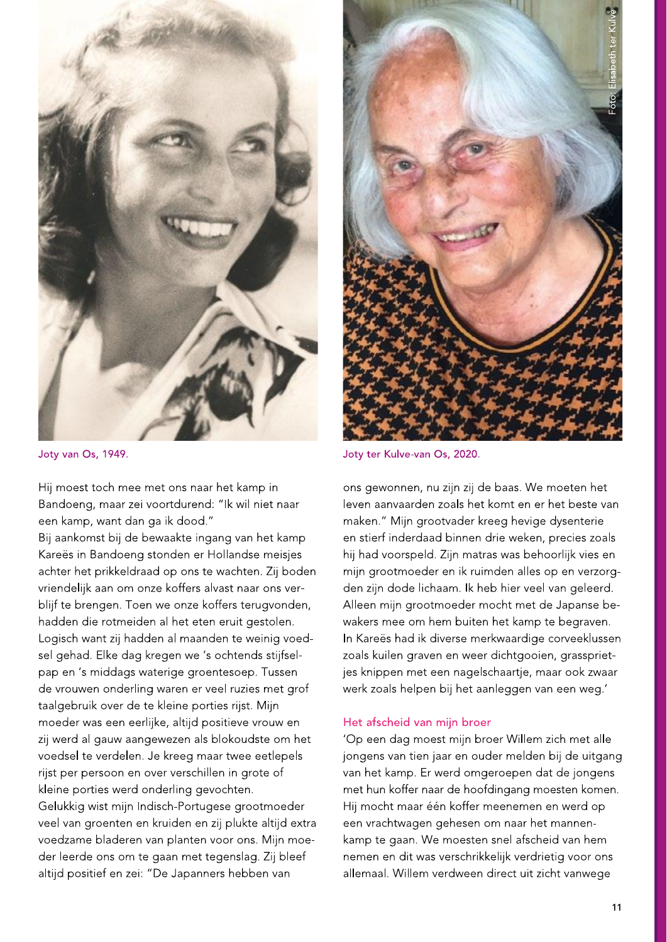

Joty van Os, 1949.

Hij moest toch mee met ons naar het kamp in Bandoeng, maar zei voortdurend: "Ik wil niet naar een kamp, want dan ga ik dood."

Bij aankomst bij de bewaakte ingang van het kamp Kareës in Bandoeng stonden er Hollandse meisjes achter het prikkeldraad op ons te wachten. Zij boden vriendelijk aan om onze koffers alvast naar ons verblijf te brengen. Toen we onze koffers terugvonden, hadden die rotmeiden al het eten eruit gestolen. Logisch want zij hadden al maanden te weinig voedsel gehad. Elke dag kregen we 's ochtends stijfselpap en 's middags waterige groentesoep. Tussen de vrouwen onderling waren er veel ruzies met grof taalgebruik over de te kleine porties rijst. Mijn moeder was een eerlijke, altijd positieve vrouw en zij werd al gauw aangewezen als blokoudste om het voedsel te verdelen. Je kreeg maar twee eetlepels rijst per persoon en over verschillen in grote of kleine porties werd onderling gevochten. Gelukkig wist mijn Indisch-Portugese grootmoeder veel van groenten en kruiden en zij plukte altijd extra voedzame bladeren van planten voor ons. Mijn moeder leerde ons om te gaan met tegenslag. Zij bleef altijd positief en zei: "De Japanners hebben van



Joty ter Kulve-van Os, 2020.

ons gewonnen, nu zijn zij de baas. We moeten het leven aanvaarden zoals het komt en er het beste van maken." Mijn grootvader kreeg hevige dysenterie en stierf inderdaad binnen drie weken, precies zoals hij had voorspeld. Zijn matras was behoorlijk vies en mijn grootmoeder en ik ruimden alles op en verzorgden zijn dode lichaam. Ik heb hier veel van geleerd. Alleen mijn grootmoeder mocht met de Japanse bewakers mee om hem buiten het kamp te begraven. In Kareës had ik diverse merkwaardige corveeklussen zoals kuilen graven en weer dichtgooien, grassprietjes knippen met een nagelschaartje, maar ook zwaar werk zoals helpen bij het aanleggen van een weg.'

#### Het afscheid van mijn broer

'Op een dag moest mijn broer Willem zich met alle jongens van tien jaar en ouder melden bij de uitgang van het kamp. Er werd omgeroepen dat de jongens met hun koffer naar de hoofdingang moesten komen. Hij mocht maar één koffer meenemen en werd op een vrachtwagen gehesen om naar het mannenkamp te gaan. We moesten snel afscheid van hem nemen en dit was verschrikkelijk verdrietig voor ons allemaal. Willem verdween direct uit zicht vanwege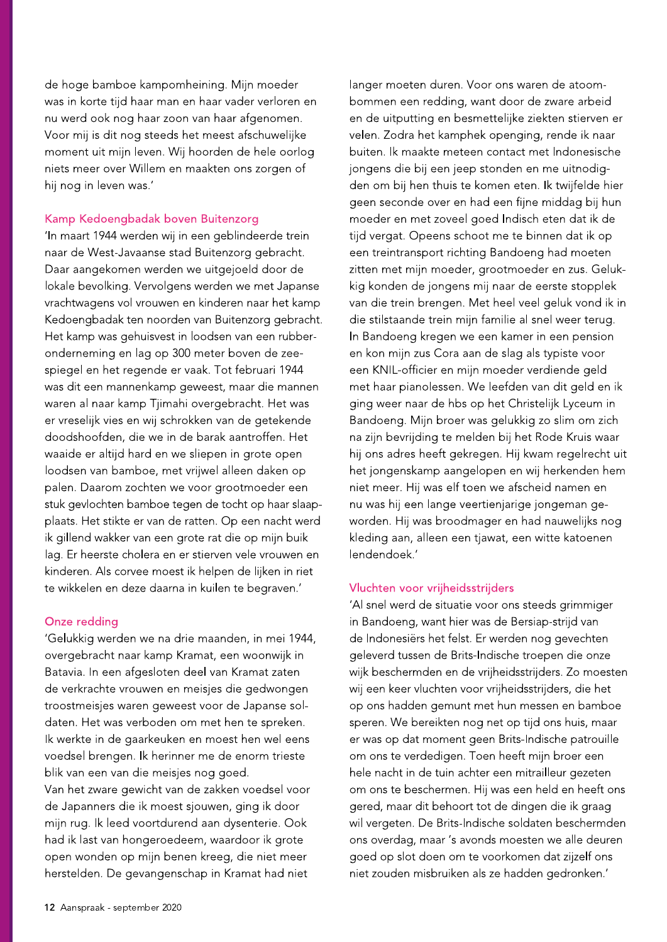de hoge bamboe kampomheining. Mijn moeder was in korte tijd haar man en haar vader verloren en nu werd ook nog haar zoon van haar afgenomen. Voor mij is dit nog steeds het meest afschuwelijke moment uit mijn leven. Wij hoorden de hele oorlog niets meer over Willem en maakten ons zorgen of hij nog in leven was.'

## Kamp Kedoengbadak boven Buitenzorg

'In maart 1944 werden wij in een geblindeerde trein naar de West-Javaanse stad Buitenzorg gebracht. Daar aangekomen werden we uitgejoeld door de lokale bevolking. Vervolgens werden we met Japanse vrachtwagens vol vrouwen en kinderen naar het kamp Kedoengbadak ten noorden van Buitenzorg gebracht. Het kamp was gehuisvest in loodsen van een rubberonderneming en lag op 300 meter boven de zeespiegel en het regende er vaak. Tot februari 1944 was dit een mannenkamp geweest, maar die mannen waren al naar kamp Tjimahi overgebracht. Het was er vreselijk vies en wij schrokken van de getekende doodshoofden, die we in de barak aantroffen. Het waaide er altijd hard en we sliepen in grote open loodsen van bamboe, met vrijwel alleen daken op palen. Daarom zochten we voor grootmoeder een stuk gevlochten bamboe tegen de tocht op haar slaapplaats. Het stikte er van de ratten. Op een nacht werd ik gillend wakker van een grote rat die op mijn buik lag. Er heerste cholera en er stierven vele vrouwen en kinderen. Als corvee moest ik helpen de lijken in riet te wikkelen en deze daarna in kuilen te begraven.'

# Onze redding

'Gelukkig werden we na drie maanden, in mei 1944, overgebracht naar kamp Kramat, een woonwijk in Batavia. In een afgesloten deel van Kramat zaten de verkrachte vrouwen en meisjes die gedwongen troostmeisjes waren geweest voor de Japanse soldaten. Het was verboden om met hen te spreken. Ik werkte in de gaarkeuken en moest hen wel eens voedsel brengen. Ik herinner me de enorm trieste blik van een van die meisjes nog goed. Van het zware gewicht van de zakken voedsel voor de Japanners die ik moest sjouwen, ging ik door mijn rug. Ik leed voortdurend aan dysenterie. Ook had ik last van hongeroedeem, waardoor ik grote

open wonden op mijn benen kreeg, die niet meer

herstelden. De gevangenschap in Kramat had niet

langer moeten duren. Voor ons waren de atoombommen een redding, want door de zware arbeid en de uitputting en besmettelijke ziekten stierven er velen. Zodra het kamphek openging, rende ik naar buiten. Ik maakte meteen contact met Indonesische jongens die bij een jeep stonden en me uitnodigden om bij hen thuis te komen eten. Ik twijfelde hier geen seconde over en had een fijne middag bij hun moeder en met zoveel goed Indisch eten dat ik de tijd vergat. Opeens schoot me te binnen dat ik op een treintransport richting Bandoeng had moeten zitten met mijn moeder, grootmoeder en zus. Gelukkig konden de jongens mij naar de eerste stopplek van die trein brengen. Met heel veel geluk vond ik in die stilstaande trein mijn familie al snel weer terug. In Bandoeng kregen we een kamer in een pension en kon mijn zus Cora aan de slag als typiste voor een KNIL-officier en mijn moeder verdiende geld met haar pianolessen. We leefden van dit geld en ik ging weer naar de hbs op het Christelijk Lyceum in Bandoeng. Mijn broer was gelukkig zo slim om zich na zijn bevrijding te melden bij het Rode Kruis waar hij ons adres heeft gekregen. Hij kwam regelrecht uit het jongenskamp aangelopen en wij herkenden hem niet meer. Hij was elf toen we afscheid namen en nu was hij een lange veertienjarige jongeman geworden. Hij was broodmager en had nauwelijks nog kleding aan, alleen een tjawat, een witte katoenen lendendoek.'

# Vluchten voor vrijheidsstrijders

'Al snel werd de situatie voor ons steeds grimmiger in Bandoeng, want hier was de Bersiap-strijd van de Indonesiërs het felst. Er werden nog gevechten geleverd tussen de Brits-Indische troepen die onze wijk beschermden en de vrijheidsstrijders. Zo moesten wij een keer vluchten voor vrijheidsstrijders, die het op ons hadden gemunt met hun messen en bamboe speren. We bereikten nog net op tijd ons huis, maar er was op dat moment geen Brits-Indische patrouille om ons te verdedigen. Toen heeft mijn broer een hele nacht in de tuin achter een mitrailleur gezeten om ons te beschermen. Hij was een held en heeft ons gered, maar dit behoort tot de dingen die ik graag wil vergeten. De Brits-Indische soldaten beschermden ons overdag, maar 's avonds moesten we alle deuren goed op slot doen om te voorkomen dat zijzelf ons niet zouden misbruiken als ze hadden gedronken.'